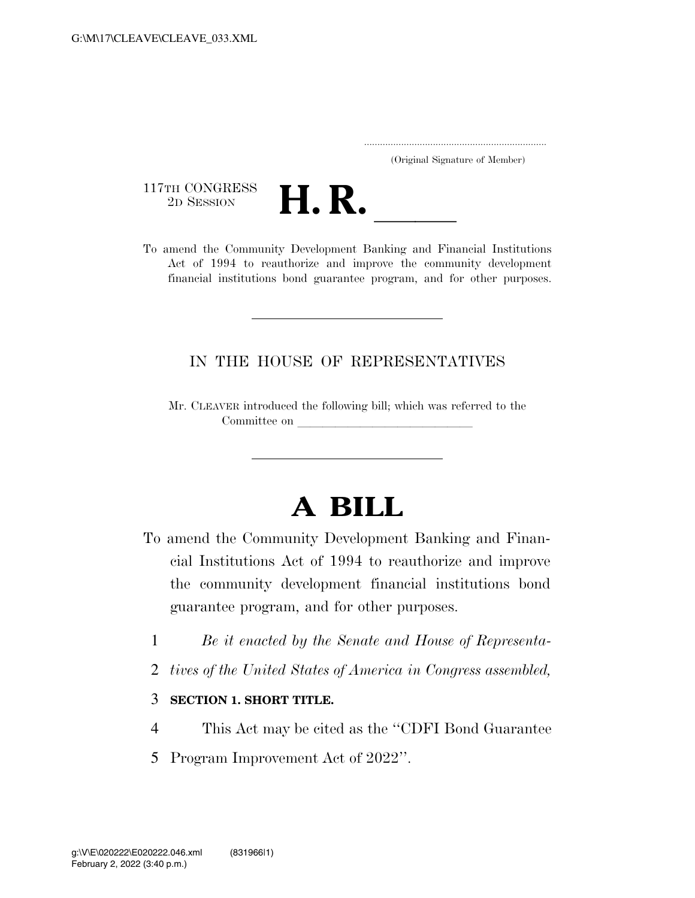..................................................................... (Original Signature of Member)

117TH CONGRESS<br>2D SESSION



117TH CONGRESS<br>
2D SESSION<br>
To amend the Community Development Banking and Financial Institutions Act of 1994 to reauthorize and improve the community development financial institutions bond guarantee program, and for other purposes.

## IN THE HOUSE OF REPRESENTATIVES

Mr. CLEAVER introduced the following bill; which was referred to the Committee on

## **A BILL**

- To amend the Community Development Banking and Financial Institutions Act of 1994 to reauthorize and improve the community development financial institutions bond guarantee program, and for other purposes.
	- 1 *Be it enacted by the Senate and House of Representa-*
	- 2 *tives of the United States of America in Congress assembled,*

## 3 **SECTION 1. SHORT TITLE.**

- 4 This Act may be cited as the ''CDFI Bond Guarantee
- 5 Program Improvement Act of 2022''.